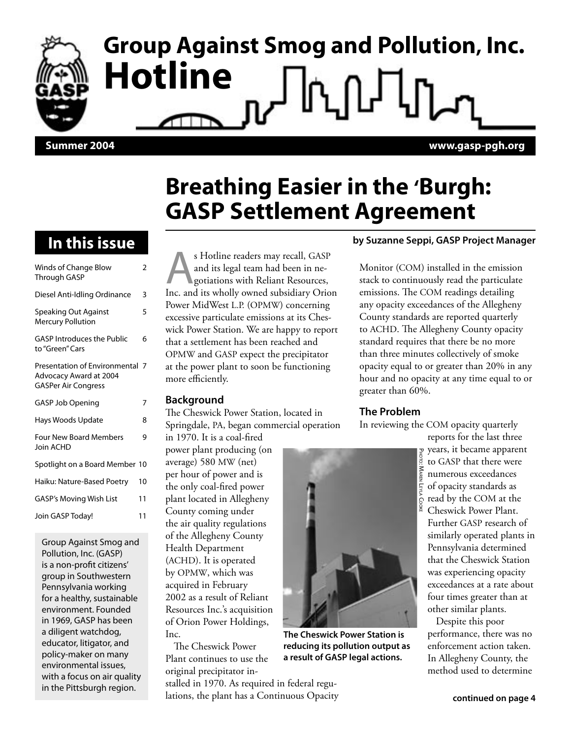# **Group Against Smog and Pollution, Inc. Hotline Summer 2004 www.gasp-pgh.org**

### **Breathing Easier in the 'Burgh: GASP Settlement Agreement**

### **In this issue**

| Winds of Change Blow<br><b>Through GASP</b>                                             | 2  |
|-----------------------------------------------------------------------------------------|----|
| Diesel Anti-Idling Ordinance                                                            | 3  |
| Speaking Out Against<br><b>Mercury Pollution</b>                                        | 5  |
| <b>GASP Introduces the Public</b><br>to "Green" Cars                                    | 6  |
| Presentation of Environmental 7<br>Advocacy Award at 2004<br><b>GASPer Air Congress</b> |    |
| GASP Job Opening                                                                        | 7  |
| Hays Woods Update                                                                       | 8  |
| <b>Four New Board Members</b><br>Join ACHD                                              | g  |
| Spotlight on a Board Member 10                                                          |    |
| Haiku: Nature-Based Poetry                                                              | 10 |
| <b>GASP's Moving Wish List</b>                                                          | 11 |
| Join GASP Today!                                                                        | 11 |

Group Against Smog and Pollution, Inc. (GASP) is a non-profit citizens' group in Southwestern Pennsylvania working for a healthy, sustainable environment. Founded in 1969, GASP has been a diligent watchdog, educator, litigator, and policy-maker on many environmental issues, with a focus on air quality in the Pittsburgh region.

s Hotline readers may recall, GASP and its legal team had been in negotiations with Reliant Resources, Inc. and its wholly owned subsidiary Orion Power MidWest L.P. (OPMW) concerning excessive particulate emissions at its Cheswick Power Station. We are happy to report that a settlement has been reached and OPMW and GASP expect the precipitator at the power plant to soon be functioning more efficiently.

#### **Background**

The Cheswick Power Station, located in Springdale, PA, began commercial operation

in 1970. It is a coal-fired power plant producing (on average) 580 MW (net) per hour of power and is the only coal-fired power plant located in Allegheny County coming under the air quality regulations of the Allegheny County Health Department (ACHD). It is operated by OPMW, which was acquired in February 2002 as a result of Reliant Resources Inc.'s acquisition of Orion Power Holdings, Inc.

The Cheswick Power Plant continues to use the original precipitator installed in 1970. As required in federal regulations, the plant has a Continuous Opacity

### **by Suzanne Seppi, GASP Project Manager**

Monitor (COM) installed in the emission stack to continuously read the particulate emissions. The COM readings detailing any opacity exceedances of the Allegheny County standards are reported quarterly to ACHD. The Allegheny County opacity standard requires that there be no more than three minutes collectively of smoke opacity equal to or greater than 20% in any hour and no opacity at any time equal to or greater than 60%.

### **The Problem**

In reviewing the COM opacity quarterly

PHOTO: MAREN LEYLA COOKE

**The Cheswick Power Station is reducing its pollution output as a result of GASP legal actions.**

reports for the last three years, it became apparent to GASP that there were numerous exceedances of opacity standards as read by the COM at the Cheswick Power Plant. Further GASP research of similarly operated plants in Pennsylvania determined that the Cheswick Station was experiencing opacity exceedances at a rate about four times greater than at other similar plants.

Despite this poor performance, there was no enforcement action taken. In Allegheny County, the method used to determine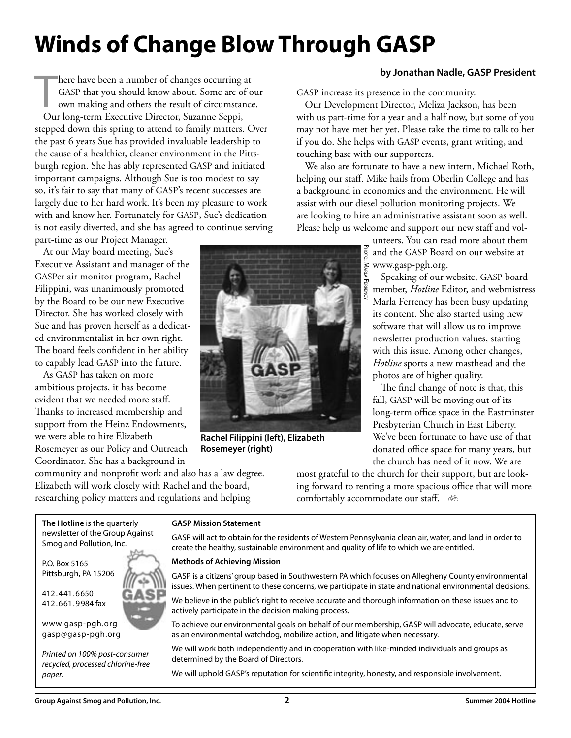## **Winds of Change Blow Through GASP**

 $\prod_{\alpha\in\alpha}$ here have been a number of changes occurring at GASP that you should know about. Some are of our own making and others the result of circumstance. Our long-term Executive Director, Suzanne Seppi, stepped down this spring to attend to family matters. Over the past 6 years Sue has provided invaluable leadership to the cause of a healthier, cleaner environment in the Pittsburgh region. She has ably represented GASP and initiated important campaigns. Although Sue is too modest to say so, it's fair to say that many of GASP's recent successes are largely due to her hard work. It's been my pleasure to work with and know her. Fortunately for GASP, Sue's dedication is not easily diverted, and she has agreed to continue serving

part-time as our Project Manager. At our May board meeting, Sue's Executive Assistant and manager of the GASPer air monitor program, Rachel Filippini, was unanimously promoted by the Board to be our new Executive Director. She has worked closely with Sue and has proven herself as a dedicated environmentalist in her own right. The board feels confident in her ability to capably lead GASP into the future.

As GASP has taken on more ambitious projects, it has become evident that we needed more staff. Thanks to increased membership and support from the Heinz Endowments, we were able to hire Elizabeth Rosemeyer as our Policy and Outreach Coordinator. She has a background in

community and nonprofit work and also has a law degree. Elizabeth will work closely with Rachel and the board, researching policy matters and regulations and helping

GASP increase its presence in the community.

Our Development Director, Meliza Jackson, has been with us part-time for a year and a half now, but some of you may not have met her yet. Please take the time to talk to her if you do. She helps with GASP events, grant writing, and touching base with our supporters.

We also are fortunate to have a new intern, Michael Roth, helping our staff. Mike hails from Oberlin College and has a background in economics and the environment. He will assist with our diesel pollution monitoring projects. We are looking to hire an administrative assistant soon as well. Please help us welcome and support our new staff and vol-

> unteers. You can read more about them and the GASP Board on our website at whiteers. Fou can rea<br>
> and the GASP Board<br>
> signal www.gasp-pgh.org.<br>
> Speaking of our w<br>
> member, *Hotline* Ec PHOTO: MARLA FERRENCY

**by Jonathan Nadle, GASP President**

Speaking of our website, GASP board member, *Hotline* Editor, and webmistress Marla Ferrency has been busy updating its content. She also started using new software that will allow us to improve newsletter production values, starting with this issue. Among other changes, *Hotline* sports a new masthead and the photos are of higher quality.

The final change of note is that, this fall, GASP will be moving out of its long-term office space in the Eastminster Presbyterian Church in East Liberty. We've been fortunate to have use of that donated office space for many years, but the church has need of it now. We are

most grateful to the church for their support, but are looking forward to renting a more spacious office that will more comfortably accommodate our staff.  $\delta$ 

**GASP Mission Statement** GASP will act to obtain for the residents of Western Pennsylvania clean air, water, and land in order to

#### **Methods of Achieving Mission**

GASP is a citizens' group based in Southwestern PA which focuses on Allegheny County environmental issues. When pertinent to these concerns, we participate in state and national environmental decisions.

create the healthy, sustainable environment and quality of life to which we are entitled.

We believe in the public's right to receive accurate and thorough information on these issues and to actively participate in the decision making process.

To achieve our environmental goals on behalf of our membership, GASP will advocate, educate, serve as an environmental watchdog, mobilize action, and litigate when necessary.

We will work both independently and in cooperation with like-minded individuals and groups as determined by the Board of Directors.

We will uphold GASP's reputation for scientific integrity, honesty, and responsible involvement.



**Rachel Filippini (left), Elizabeth Rosemeyer (right)**

Pittsburgh, PA 15206 412.441.6650 412.661.9984 fax

**The Hotline** is the quarterly newsletter of the Group Against Smog and Pollution, Inc.

www.gasp-pgh.org gasp@gasp-pgh.org

P.O. Box 5165

Printed on 100% post-consumer recycled, processed chlorine-free paper.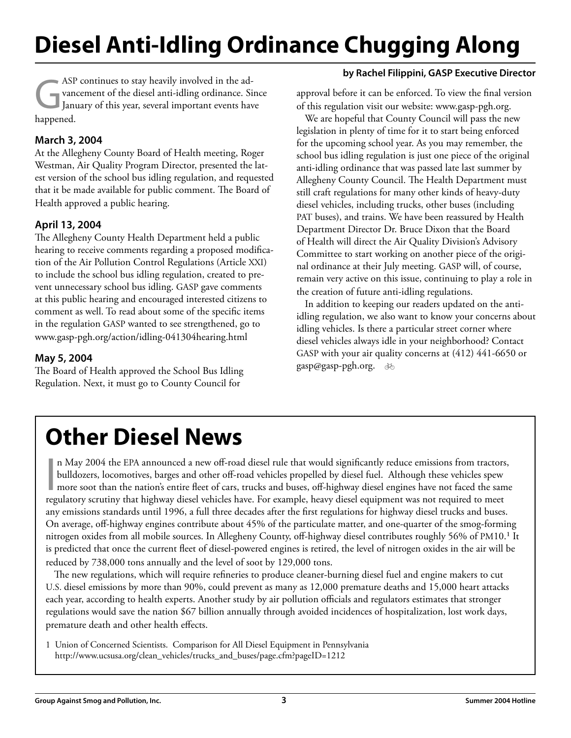## **Diesel Anti-Idling Ordinance Chugging Along**

ASP continues to stay heavily involved in the ad-<br>
yancement of the diesel anti-idling ordinance. Since<br>
January of this year, several important events have vancement of the diesel anti-idling ordinance. Since happened.

### **March 3, 2004**

At the Allegheny County Board of Health meeting, Roger Westman, Air Quality Program Director, presented the latest version of the school bus idling regulation, and requested that it be made available for public comment. The Board of Health approved a public hearing.

### **April 13, 2004**

The Allegheny County Health Department held a public hearing to receive comments regarding a proposed modification of the Air Pollution Control Regulations (Article XXI) to include the school bus idling regulation, created to prevent unnecessary school bus idling. GASP gave comments at this public hearing and encouraged interested citizens to comment as well. To read about some of the specific items in the regulation GASP wanted to see strengthened, go to www.gasp-pgh.org/action/idling-041304hearing.html

### **May 5, 2004**

The Board of Health approved the School Bus Idling Regulation. Next, it must go to County Council for

### **by Rachel Filippini, GASP Executive Director**

approval before it can be enforced. To view the final version of this regulation visit our website: www.gasp-pgh.org.

We are hopeful that County Council will pass the new legislation in plenty of time for it to start being enforced for the upcoming school year. As you may remember, the school bus idling regulation is just one piece of the original anti-idling ordinance that was passed late last summer by Allegheny County Council. The Health Department must still craft regulations for many other kinds of heavy-duty diesel vehicles, including trucks, other buses (including PAT buses), and trains. We have been reassured by Health Department Director Dr. Bruce Dixon that the Board of Health will direct the Air Quality Division's Advisory Committee to start working on another piece of the original ordinance at their July meeting. GASP will, of course, remain very active on this issue, continuing to play a role in the creation of future anti-idling regulations.

In addition to keeping our readers updated on the antiidling regulation, we also want to know your concerns about idling vehicles. Is there a particular street corner where diesel vehicles always idle in your neighborhood? Contact GASP with your air quality concerns at (412) 441-6650 or gasp@gasp-pgh.org. b

## **Other Diesel News**

In May 2004 the EPA announced a new off-road diesel rule that would significantly reduce emissions from tractors<br>bulldozers, locomotives, barges and other off-road vehicles propelled by diesel fuel. Although these vehicles n May 2004 the EPA announced a new off-road diesel rule that would significantly reduce emissions from tractors, bulldozers, locomotives, barges and other off-road vehicles propelled by diesel fuel. Although these vehicles spew more soot than the nation's entire fleet of cars, trucks and buses, off-highway diesel engines have not faced the same any emissions standards until 1996, a full three decades after the first regulations for highway diesel trucks and buses. On average, off-highway engines contribute about 45% of the particulate matter, and one-quarter of the smog-forming nitrogen oxides from all mobile sources. In Allegheny County, off-highway diesel contributes roughly 56% of PM10.<sup>1</sup> It is predicted that once the current fleet of diesel-powered engines is retired, the level of nitrogen oxides in the air will be reduced by 738,000 tons annually and the level of soot by 129,000 tons.

The new regulations, which will require refineries to produce cleaner-burning diesel fuel and engine makers to cut U.S. diesel emissions by more than 90%, could prevent as many as 12,000 premature deaths and 15,000 heart attacks each year, according to health experts. Another study by air pollution officials and regulators estimates that stronger regulations would save the nation \$67 billion annually through avoided incidences of hospitalization, lost work days, premature death and other health effects.

1 Union of Concerned Scientists. Comparison for All Diesel Equipment in Pennsylvania http://www.ucsusa.org/clean\_vehicles/trucks\_and\_buses/page.cfm?pageID=1212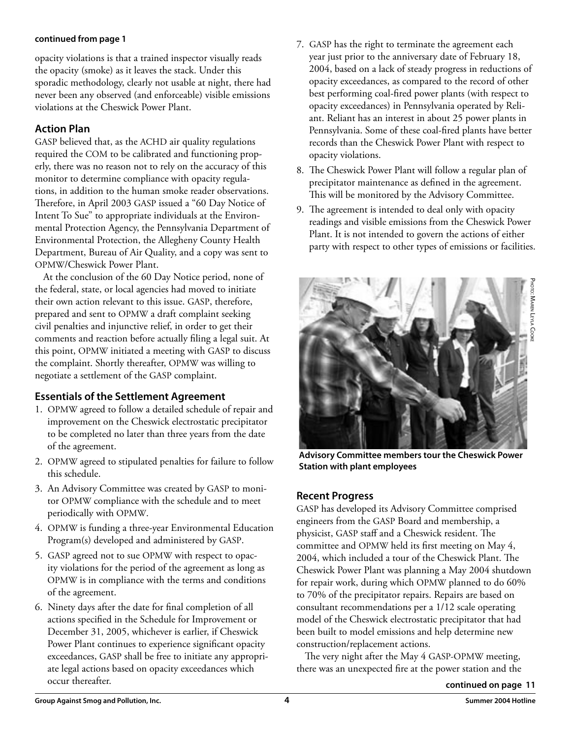#### **continued from page 1**

opacity violations is that a trained inspector visually reads the opacity (smoke) as it leaves the stack. Under this sporadic methodology, clearly not usable at night, there had never been any observed (and enforceable) visible emissions violations at the Cheswick Power Plant.

### **Action Plan**

GASP believed that, as the ACHD air quality regulations required the COM to be calibrated and functioning properly, there was no reason not to rely on the accuracy of this monitor to determine compliance with opacity regulations, in addition to the human smoke reader observations. Therefore, in April 2003 GASP issued a "60 Day Notice of Intent To Sue" to appropriate individuals at the Environmental Protection Agency, the Pennsylvania Department of Environmental Protection, the Allegheny County Health Department, Bureau of Air Quality, and a copy was sent to OPMW/Cheswick Power Plant.

At the conclusion of the 60 Day Notice period, none of the federal, state, or local agencies had moved to initiate their own action relevant to this issue. GASP, therefore, prepared and sent to OPMW a draft complaint seeking civil penalties and injunctive relief, in order to get their comments and reaction before actually filing a legal suit. At this point, OPMW initiated a meeting with GASP to discuss the complaint. Shortly thereafter, OPMW was willing to negotiate a settlement of the GASP complaint.

### **Essentials of the Settlement Agreement**

- 1. OPMW agreed to follow a detailed schedule of repair and improvement on the Cheswick electrostatic precipitator to be completed no later than three years from the date of the agreement.
- 2. OPMW agreed to stipulated penalties for failure to follow this schedule.
- 3. An Advisory Committee was created by GASP to monitor OPMW compliance with the schedule and to meet periodically with OPMW.
- 4. OPMW is funding a three-year Environmental Education Program(s) developed and administered by GASP.
- 5. GASP agreed not to sue OPMW with respect to opacity violations for the period of the agreement as long as OPMW is in compliance with the terms and conditions of the agreement.
- 6. Ninety days after the date for final completion of all actions specified in the Schedule for Improvement or December 31, 2005, whichever is earlier, if Cheswick Power Plant continues to experience significant opacity exceedances, GASP shall be free to initiate any appropriate legal actions based on opacity exceedances which occur thereafter.
- 7. GASP has the right to terminate the agreement each year just prior to the anniversary date of February 18, 2004, based on a lack of steady progress in reductions of opacity exceedances, as compared to the record of other best performing coal-fired power plants (with respect to opacity exceedances) in Pennsylvania operated by Reliant. Reliant has an interest in about 25 power plants in Pennsylvania. Some of these coal-fired plants have better records than the Cheswick Power Plant with respect to opacity violations.
- 8. The Cheswick Power Plant will follow a regular plan of precipitator maintenance as defined in the agreement. This will be monitored by the Advisory Committee.
- 9. The agreement is intended to deal only with opacity readings and visible emissions from the Cheswick Power Plant. It is not intended to govern the actions of either party with respect to other types of emissions or facilities.



**Advisory Committee members tour the Cheswick Power Station with plant employees**

### **Recent Progress**

GASP has developed its Advisory Committee comprised engineers from the GASP Board and membership, a physicist, GASP staff and a Cheswick resident. The committee and OPMW held its first meeting on May 4, 2004, which included a tour of the Cheswick Plant. The Cheswick Power Plant was planning a May 2004 shutdown for repair work, during which OPMW planned to do 60% to 70% of the precipitator repairs. Repairs are based on consultant recommendations per a 1/12 scale operating model of the Cheswick electrostatic precipitator that had been built to model emissions and help determine new construction/replacement actions.

The very night after the May 4 GASP-OPMW meeting, there was an unexpected fire at the power station and the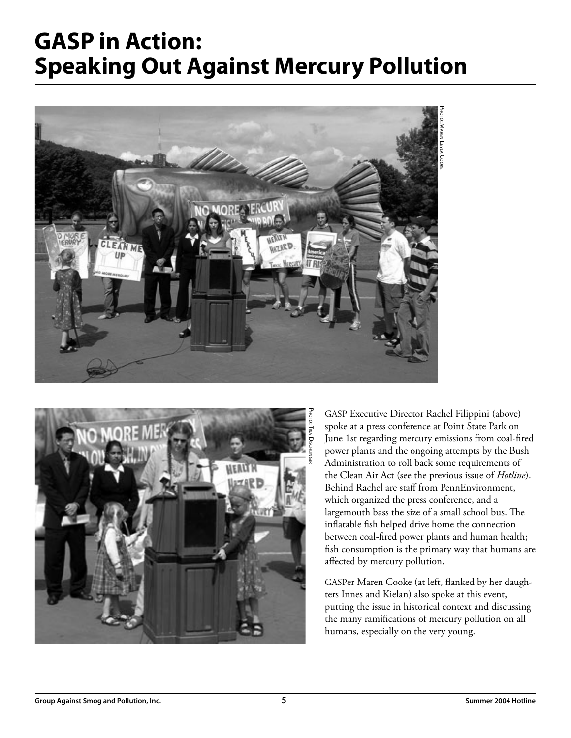## **GASP in Action: Speaking Out Against Mercury Pollution**





GASP Executive Director Rachel Filippini (above) spoke at a press conference at Point State Park on June 1st regarding mercury emissions from coal-fired power plants and the ongoing attempts by the Bush Administration to roll back some requirements of the Clean Air Act (see the previous issue of *Hotline*). Behind Rachel are staff from PennEnvironment, which organized the press conference, and a largemouth bass the size of a small school bus. The inflatable fish helped drive home the connection between coal-fired power plants and human health; fish consumption is the primary way that humans are affected by mercury pollution.

GASPer Maren Cooke (at left, flanked by her daughters Innes and Kielan) also spoke at this event, putting the issue in historical context and discussing the many ramifications of mercury pollution on all humans, especially on the very young.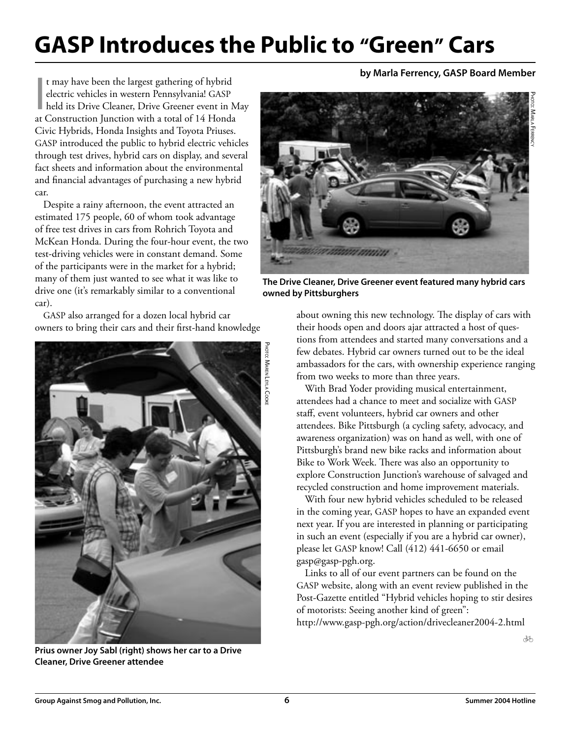## **GASP Introduces the Public to "Green" Cars**

t may have been the largest gathering of hybrid<br>electric vehicles in western Pennsylvania! GASP<br>held its Drive Cleaner, Drive Greener event in M<br>at Construction Junction with a total of 14 Honda t may have been the largest gathering of hybrid electric vehicles in western Pennsylvania! GASP held its Drive Cleaner, Drive Greener event in May Civic Hybrids, Honda Insights and Toyota Priuses. GASP introduced the public to hybrid electric vehicles through test drives, hybrid cars on display, and several fact sheets and information about the environmental and financial advantages of purchasing a new hybrid car.

Despite a rainy afternoon, the event attracted an estimated 175 people, 60 of whom took advantage of free test drives in cars from Rohrich Toyota and McKean Honda. During the four-hour event, the two test-driving vehicles were in constant demand. Some of the participants were in the market for a hybrid; many of them just wanted to see what it was like to drive one (it's remarkably similar to a conventional car).

GASP also arranged for a dozen local hybrid car owners to bring their cars and their first-hand knowledge



**Prius owner Joy Sabl (right) shows her car to a Drive Cleaner, Drive Greener attendee**

#### **by Marla Ferrency, GASP Board Member**



**The Drive Cleaner, Drive Greener event featured many hybrid cars owned by Pittsburghers**

about owning this new technology. The display of cars with their hoods open and doors ajar attracted a host of questions from attendees and started many conversations and a few debates. Hybrid car owners turned out to be the ideal ambassadors for the cars, with ownership experience ranging from two weeks to more than three years.

With Brad Yoder providing musical entertainment, attendees had a chance to meet and socialize with GASP staff, event volunteers, hybrid car owners and other attendees. Bike Pittsburgh (a cycling safety, advocacy, and awareness organization) was on hand as well, with one of Pittsburgh's brand new bike racks and information about Bike to Work Week. There was also an opportunity to explore Construction Junction's warehouse of salvaged and recycled construction and home improvement materials.

With four new hybrid vehicles scheduled to be released in the coming year, GASP hopes to have an expanded event next year. If you are interested in planning or participating in such an event (especially if you are a hybrid car owner), please let GASP know! Call (412) 441-6650 or email gasp@gasp-pgh.org.

Links to all of our event partners can be found on the GASP website, along with an event review published in the Post-Gazette entitled "Hybrid vehicles hoping to stir desires of motorists: Seeing another kind of green": http://www.gasp-pgh.org/action/drivecleaner2004-2.html

ðó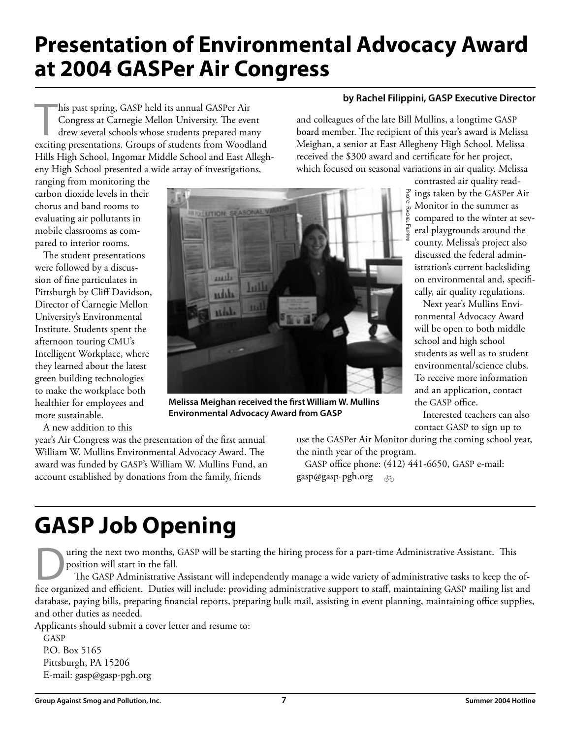## **Presentation of Environmental Advocacy Award at 2004 GASPer Air Congress**

his past spring, GASP held its annual GASPer Air<br>Congress at Carnegie Mellon University. The event<br>drew several schools whose students prepared many<br>exciting presentations. Groups of students from Woodland his past spring, GASP held its annual GASPer Air Congress at Carnegie Mellon University. The event drew several schools whose students prepared many Hills High School, Ingomar Middle School and East Allegheny High School presented a wide array of investigations,

ranging from monitoring the carbon dioxide levels in their chorus and band rooms to evaluating air pollutants in mobile classrooms as compared to interior rooms.

The student presentations were followed by a discussion of fine particulates in Pittsburgh by Cliff Davidson, Director of Carnegie Mellon University's Environmental Institute. Students spent the afternoon touring CMU's Intelligent Workplace, where they learned about the latest green building technologies to make the workplace both healthier for employees and more sustainable.

A new addition to this

year's Air Congress was the presentation of the first annual William W. Mullins Environmental Advocacy Award. The award was funded by GASP's William W. Mullins Fund, an account established by donations from the family, friends



and colleagues of the late Bill Mullins, a longtime GASP board member. The recipient of this year's award is Melissa Meighan, a senior at East Allegheny High School. Melissa received the \$300 award and certificate for her project, which focused on seasonal variations in air quality. Melissa

> contrasted air quality read- $\frac{1}{6}$  ings taken by the GASPer Air Monitor in the summer as compared to the winter at several playgrounds around the county. Melissa's project also discussed the federal administration's current backsliding on environmental and, specifically, air quality regulations.

Next year's Mullins Environmental Advocacy Award will be open to both middle school and high school students as well as to student environmental/science clubs. To receive more information and an application, contact the GASP office.

Interested teachers can also contact GASP to sign up to

use the GASPer Air Monitor during the coming school year, the ninth year of the program.

GASP office phone: (412) 441-6650, GASP e-mail: gasp@gasp-pgh.org  $\overline{\mathcal{A}}$ 

## **GASP Job Opening**

uring the next two months, GASP will be starting the hiring process for a part-time Administrative Assistant. This position will start in the fall.

The GASP Administrative Assistant will independently manage a wide variety of administrative tasks to keep the office organized and efficient. Duties will include: providing administrative support to staff, maintaining GASP mailing list and database, paying bills, preparing financial reports, preparing bulk mail, assisting in event planning, maintaining office supplies, and other duties as needed.

Applicants should submit a cover letter and resume to:

GASP P.O. Box 5165 Pittsburgh, PA 15206 E-mail: gasp@gasp-pgh.org



**Environmental Advocacy Award from GASP**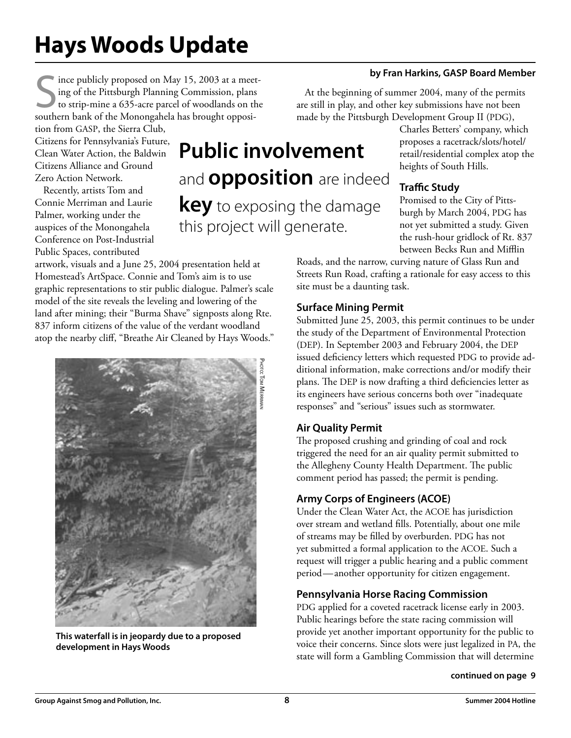## **Hays Woods Update**

Since publicly proposed on May 15, 2003 at a meet<br>
ing of the Pittsburgh Planning Commission, plans<br>
to strip-mine a 635-acre parcel of woodlands on th<br>
southern bank of the Monongahela has brought opposiince publicly proposed on May 15, 2003 at a meeting of the Pittsburgh Planning Commission, plans to strip-mine a 635-acre parcel of woodlands on the

tion from GASP, the Sierra Club, Citizens for Pennsylvania's Future, Clean Water Action, the Baldwin Citizens Alliance and Ground Zero Action Network.

Recently, artists Tom and Connie Merriman and Laurie Palmer, working under the auspices of the Monongahela Conference on Post-Industrial Public Spaces, contributed

### **Public involvement** and **opposition** are indeed **key** to exposing the damage this project will generate.

artwork, visuals and a June 25, 2004 presentation held at Homestead's ArtSpace. Connie and Tom's aim is to use graphic representations to stir public dialogue. Palmer's scale model of the site reveals the leveling and lowering of the land after mining; their "Burma Shave" signposts along Rte. 837 inform citizens of the value of the verdant woodland atop the nearby cliff, "Breathe Air Cleaned by Hays Woods."



**This waterfall is in jeopardy due to a proposed development in Hays Woods**

## At the beginning of summer 2004, many of the permits

are still in play, and other key submissions have not been made by the Pittsburgh Development Group II (PDG),

Charles Betters' company, which proposes a racetrack/slots/hotel/ retail/residential complex atop the heights of South Hills.

**by Fran Harkins, GASP Board Member**

### **Traffic Study**

Promised to the City of Pittsburgh by March 2004, PDG has not yet submitted a study. Given the rush-hour gridlock of Rt. 837 between Becks Run and Mifflin

Roads, and the narrow, curving nature of Glass Run and Streets Run Road, crafting a rationale for easy access to this site must be a daunting task.

### **Surface Mining Permit**

Submitted June 25, 2003, this permit continues to be under the study of the Department of Environmental Protection (DEP). In September 2003 and February 2004, the DEP issued deficiency letters which requested PDG to provide additional information, make corrections and/or modify their plans. The DEP is now drafting a third deficiencies letter as its engineers have serious concerns both over "inadequate responses" and "serious" issues such as stormwater.

### **Air Quality Permit**

The proposed crushing and grinding of coal and rock triggered the need for an air quality permit submitted to the Allegheny County Health Department. The public comment period has passed; the permit is pending.

### **Army Corps of Engineers (ACOE)**

Under the Clean Water Act, the ACOE has jurisdiction over stream and wetland fills. Potentially, about one mile of streams may be filled by overburden. PDG has not yet submitted a formal application to the ACOE. Such a request will trigger a public hearing and a public comment period—another opportunity for citizen engagement.

### **Pennsylvania Horse Racing Commission**

PDG applied for a coveted racetrack license early in 2003. Public hearings before the state racing commission will provide yet another important opportunity for the public to voice their concerns. Since slots were just legalized in PA, the state will form a Gambling Commission that will determine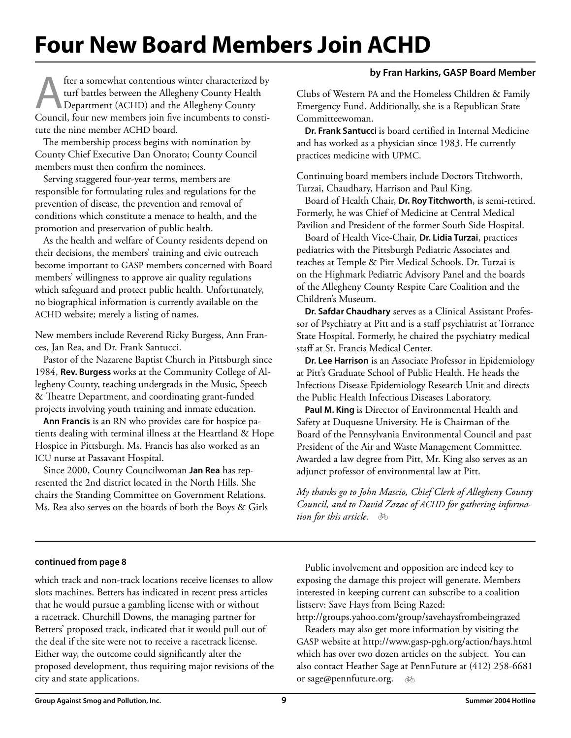## **Four New Board Members Join ACHD**

#### **by Fran Harkins, GASP Board Member**

fter a somewhat contentious winter characterized by<br>turf battles between the Allegheny County Health<br>Department (ACHD) and the Allegheny County<br>Council four new members ioin five incumbents to consti. turf battles between the Allegheny County Health Department (ACHD) and the Allegheny County Council, four new members join five incumbents to constitute the nine member ACHD board.

The membership process begins with nomination by County Chief Executive Dan Onorato; County Council members must then confirm the nominees.

Serving staggered four-year terms, members are responsible for formulating rules and regulations for the prevention of disease, the prevention and removal of conditions which constitute a menace to health, and the promotion and preservation of public health.

As the health and welfare of County residents depend on their decisions, the members' training and civic outreach become important to GASP members concerned with Board members' willingness to approve air quality regulations which safeguard and protect public health. Unfortunately, no biographical information is currently available on the ACHD website; merely a listing of names.

New members include Reverend Ricky Burgess, Ann Frances, Jan Rea, and Dr. Frank Santucci.

Pastor of the Nazarene Baptist Church in Pittsburgh since 1984, **Rev. Burgess** works at the Community College of Allegheny County, teaching undergrads in the Music, Speech & Theatre Department, and coordinating grant-funded projects involving youth training and inmate education.

**Ann Francis** is an RN who provides care for hospice patients dealing with terminal illness at the Heartland & Hope Hospice in Pittsburgh. Ms. Francis has also worked as an ICU nurse at Passavant Hospital.

Since 2000, County Councilwoman **Jan Rea** has represented the 2nd district located in the North Hills. She chairs the Standing Committee on Government Relations. Ms. Rea also serves on the boards of both the Boys & Girls Clubs of Western PA and the Homeless Children & Family Emergency Fund. Additionally, she is a Republican State Committeewoman.

**Dr. Frank Santucci** is board certified in Internal Medicine and has worked as a physician since 1983. He currently practices medicine with UPMC.

Continuing board members include Doctors Titchworth, Turzai, Chaudhary, Harrison and Paul King.

Board of Health Chair, **Dr. Roy Titchworth**, is semi-retired. Formerly, he was Chief of Medicine at Central Medical Pavilion and President of the former South Side Hospital.

Board of Health Vice-Chair, **Dr. Lidia Turzai**, practices pediatrics with the Pittsburgh Pediatric Associates and teaches at Temple & Pitt Medical Schools. Dr. Turzai is on the Highmark Pediatric Advisory Panel and the boards of the Allegheny County Respite Care Coalition and the Children's Museum.

**Dr. Safdar Chaudhary** serves as a Clinical Assistant Professor of Psychiatry at Pitt and is a staff psychiatrist at Torrance State Hospital. Formerly, he chaired the psychiatry medical staff at St. Francis Medical Center.

**Dr. Lee Harrison** is an Associate Professor in Epidemiology at Pitt's Graduate School of Public Health. He heads the Infectious Disease Epidemiology Research Unit and directs the Public Health Infectious Diseases Laboratory.

**Paul M. King** is Director of Environmental Health and Safety at Duquesne University. He is Chairman of the Board of the Pennsylvania Environmental Council and past President of the Air and Waste Management Committee. Awarded a law degree from Pitt, Mr. King also serves as an adjunct professor of environmental law at Pitt.

*My thanks go to John Mascio, Chief Clerk of Allegheny County Council, and to David Zazac of ACHD for gathering information for this article.* b

#### **continued from page 8**

which track and non-track locations receive licenses to allow slots machines. Betters has indicated in recent press articles that he would pursue a gambling license with or without a racetrack. Churchill Downs, the managing partner for Betters' proposed track, indicated that it would pull out of the deal if the site were not to receive a racetrack license. Either way, the outcome could significantly alter the proposed development, thus requiring major revisions of the city and state applications.

Public involvement and opposition are indeed key to exposing the damage this project will generate. Members interested in keeping current can subscribe to a coalition listserv: Save Hays from Being Razed:

http://groups.yahoo.com/group/savehaysfrombeingrazed

or sage@pennfuture.org. क्र Readers may also get more information by visiting the GASP website at http://www.gasp-pgh.org/action/hays.html which has over two dozen articles on the subject. You can also contact Heather Sage at PennFuture at (412) 258-6681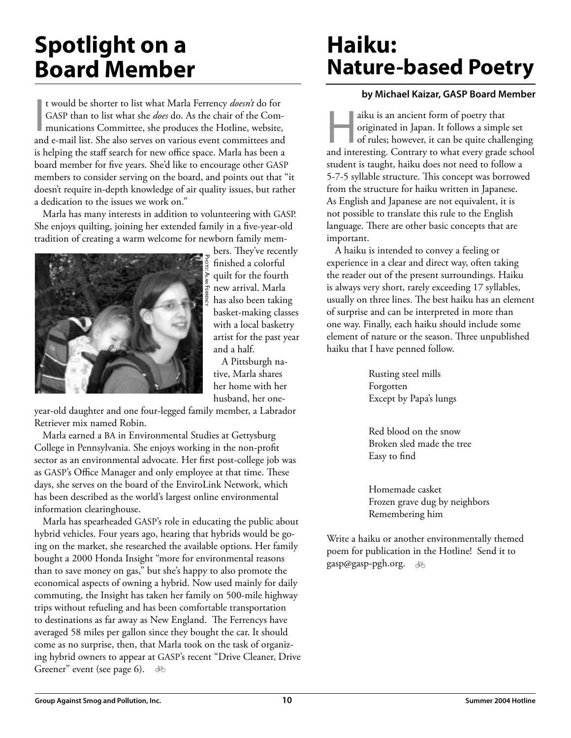## **Spotlight on a Board Member**

t would be shorter to list what Marla Ferrency *doesn't* do for GASP than to list what she *does* do. As the chair of the Communications Committee, she produces the Hotline, website, and e-mail list. She also serves on var t would be shorter to list what Marla Ferrency *doesn't* do for GASP than to list what she *does* do. As the chair of the Communications Committee, she produces the Hotline, website, is helping the staff search for new office space. Marla has been a board member for five years. She'd like to encourage other GASP members to consider serving on the board, and points out that "it doesn't require in-depth knowledge of air quality issues, but rather a dedication to the issues we work on."

Marla has many interests in addition to volunteering with GASP. She enjoys quilting, joining her extended family in a five-year-old tradition of creating a warm welcome for newborn family mem-



bers. They've recently finished a colorful quilt for the fourth new arrival. Marla has also been taking basket-making classes with a local basketry artist for the past year and a half.

A Pittsburgh native, Marla shares her home with her husband, her one-

year-old daughter and one four-legged family member, a Labrador Retriever mix named Robin.

Marla earned a BA in Environmental Studies at Gettysburg College in Pennsylvania. She enjoys working in the non-profit sector as an environmental advocate. Her first post-college job was as GASP's Office Manager and only employee at that time. These days, she serves on the board of the EnviroLink Network, which has been described as the world's largest online environmental information clearinghouse.

Marla has spearheaded GASP's role in educating the public about hybrid vehicles. Four years ago, hearing that hybrids would be going on the market, she researched the available options. Her family bought a 2000 Honda Insight "more for environmental reasons than to save money on gas," but she's happy to also promote the economical aspects of owning a hybrid. Now used mainly for daily commuting, the Insight has taken her family on 500-mile highway trips without refueling and has been comfortable transportation to destinations as far away as New England. The Ferrencys have averaged 58 miles per gallon since they bought the car. It should come as no surprise, then, that Marla took on the task of organizing hybrid owners to appear at GASP's recent "Drive Cleaner, Drive Greener" event (see page 6).  $\delta$ 

### **Haiku: Nature-based Poetry**

#### **by Michael Kaizar, GASP Board Member**

aiku is an ancient form of poetry that<br>originated in Japan. It follows a simple<br>of rules; however, it can be quite challe originated in Japan. It follows a simple set of rules; however, it can be quite challenging and interesting. Contrary to what every grade school student is taught, haiku does not need to follow a 5-7-5 syllable structure. This concept was borrowed from the structure for haiku written in Japanese. As English and Japanese are not equivalent, it is not possible to translate this rule to the English language. There are other basic concepts that are important.

A haiku is intended to convey a feeling or experience in a clear and direct way, often taking the reader out of the present surroundings. Haiku is always very short, rarely exceeding 17 syllables, usually on three lines. The best haiku has an element of surprise and can be interpreted in more than one way. Finally, each haiku should include some element of nature or the season. Three unpublished haiku that I have penned follow.

> Rusting steel mills Forgotten Except by Papa's lungs

Red blood on the snow Broken sled made the tree Easy to find

Homemade casket Frozen grave dug by neighbors Remembering him

Write a haiku or another environmentally themed poem for publication in the Hotline! Send it to gasp@gasp-pgh.org. b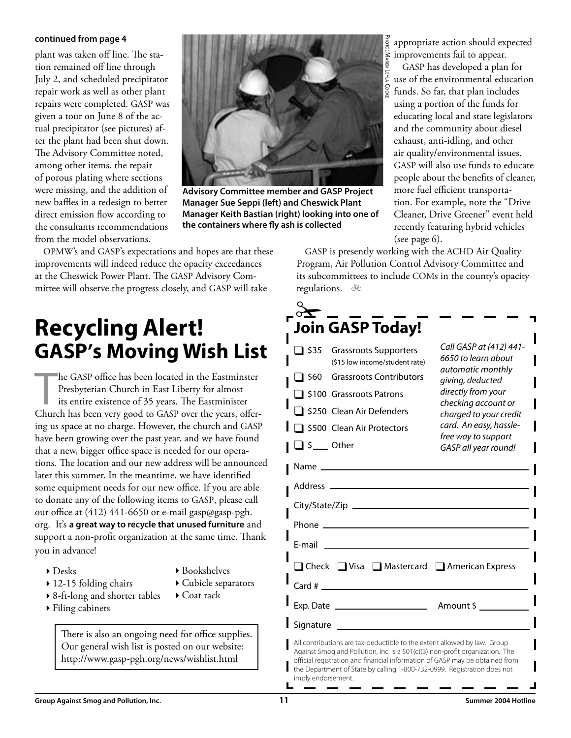#### **continued from page 4**

plant was taken off line. The station remained off line through July 2, and scheduled precipitator repair work as well as other plant repairs were completed. GASP was given a tour on June 8 of the actual precipitator (see pictures) after the plant had been shut down. The Advisory Committee noted, among other items, the repair of porous plating where sections were missing, and the addition of new baffles in a redesign to better direct emission flow according to the consultants recommendations from the model observations.



**Advisory Committee member and GASP Project Manager Sue Seppi (left) and Cheswick Plant Manager Keith Bastian (right) looking into one of the containers where fly ash is collected**

OPMW's and GASP's expectations and hopes are that these improvements will indeed reduce the opacity exceedances at the Cheswick Power Plant. The GASP Advisory Committee will observe the progress closely, and GASP will take

### **Recycling Alert! GASP's Moving Wish List**

he GASP office has been located in the Eastminster<br>Presbyterian Church in East Liberty for almost<br>its entire existence of 35 years. The Eastminister<br>Church has been very good to GASP over the years, offerhe GASP office has been located in the Eastminster Presbyterian Church in East Liberty for almost its entire existence of 35 years. The Eastminister ing us space at no charge. However, the church and GASP have been growing over the past year, and we have found that a new, bigger office space is needed for our operations. The location and our new address will be announced later this summer. In the meantime, we have identified some equipment needs for our new office. If you are able to donate any of the following items to GASP, please call our office at (412) 441-6650 or e-mail gasp@gasp-pgh. org. It's **a great way to recycle that unused furniture** and support a non-profit organization at the same time. Thank you in advance!

 $\triangleright$  Desks

 $\triangleright$  Bookshelves

4Cubicle separators

- $\triangleright$  12-15 folding chairs
- ▶ 8-ft-long and shorter tables ▶ Coat rack
- ▶ Filing cabinets

There is also an ongoing need for office supplies. Our general wish list is posted on our website: http://www.gasp-pgh.org/news/wishlist.html

appropriate action should expected improvements fail to appear.

GASP has developed a plan for use of the environmental education funds. So far, that plan includes using a portion of the funds for educating local and state legislators and the community about diesel exhaust, anti-idling, and other air quality/environmental issues. GASP will also use funds to educate people about the benefits of cleaner, more fuel efficient transportation. For example, note the "Drive Cleaner, Drive Greener" event held recently featuring hybrid vehicles (see page 6).

GASP is presently working with the ACHD Air Quality Program, Air Pollution Control Advisory Committee and its subcommittees to include COMs in the county's opacity regulations. क्र

|                                                                                                                                                                                                                                                                                                                                            | <b>Join GASP Today!</b>                                        |                                                                                                               |  |
|--------------------------------------------------------------------------------------------------------------------------------------------------------------------------------------------------------------------------------------------------------------------------------------------------------------------------------------------|----------------------------------------------------------------|---------------------------------------------------------------------------------------------------------------|--|
| $\Box$ \$35                                                                                                                                                                                                                                                                                                                                | <b>Grassroots Supporters</b><br>(\$15 low income/student rate) | Call GASP at (412) 441-<br>6650 to learn about<br>automatic monthly<br>giving, deducted<br>directly from your |  |
| $\Box$ \$60                                                                                                                                                                                                                                                                                                                                | <b>Grassroots Contributors</b>                                 |                                                                                                               |  |
|                                                                                                                                                                                                                                                                                                                                            | □ \$100 Grassroots Patrons                                     |                                                                                                               |  |
|                                                                                                                                                                                                                                                                                                                                            | S250 Clean Air Defenders                                       | checking account or<br>charged to your credit                                                                 |  |
|                                                                                                                                                                                                                                                                                                                                            | \$500 Clean Air Protectors                                     | card. An easy, hassle-                                                                                        |  |
| $\Box$ \$ $\__$ Other                                                                                                                                                                                                                                                                                                                      |                                                                | free way to support<br>GASP all year round!                                                                   |  |
|                                                                                                                                                                                                                                                                                                                                            |                                                                |                                                                                                               |  |
|                                                                                                                                                                                                                                                                                                                                            |                                                                |                                                                                                               |  |
|                                                                                                                                                                                                                                                                                                                                            |                                                                |                                                                                                               |  |
|                                                                                                                                                                                                                                                                                                                                            |                                                                |                                                                                                               |  |
| F-mail                                                                                                                                                                                                                                                                                                                                     |                                                                |                                                                                                               |  |
|                                                                                                                                                                                                                                                                                                                                            | □ Check □ Visa □ Mastercard □ American Express                 |                                                                                                               |  |
|                                                                                                                                                                                                                                                                                                                                            |                                                                |                                                                                                               |  |
|                                                                                                                                                                                                                                                                                                                                            | Exp. Date $\_\_$                                               | Amount \$                                                                                                     |  |
| Signature ______                                                                                                                                                                                                                                                                                                                           |                                                                |                                                                                                               |  |
| All contributions are tax-deductible to the extent allowed by law. Group<br>Against Smog and Pollution, Inc. is a 501(c)(3) non-profit organization. The<br>official registration and financial information of GASP may be obtained from<br>the Department of State by calling 1-800-732-0999. Registration does not<br>imply endorsement. |                                                                |                                                                                                               |  |